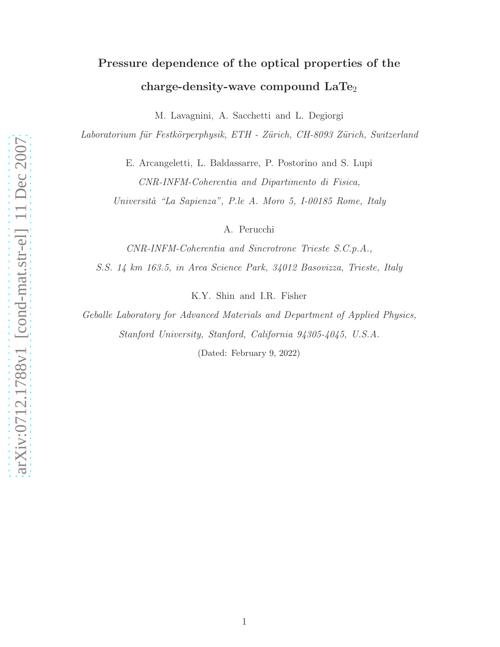# Pressure dependence of the optical properties of the charge-density-wave compound  $\text{LaTe}_2$

M. Lavagnini, A. Sacchetti and L. Degiorgi

Laboratorium für Festkörperphysik, ETH - Zürich, CH-8093 Zürich, Switzerland

E. Arcangeletti, L. Baldassarre, P. Postorino and S. Lupi CNR-INFM-Coherentia and Dipartimento di Fisica,

Università "La Sapienza", P.le A. Moro 5, I-00185 Rome, Italy

A. Perucchi

CNR-INFM-Coherentia and Sincrotrone Trieste S.C.p.A.,

S.S. 14 km 163.5, in Area Science Park, 34012 Basovizza, Trieste, Italy

K.Y. Shin and I.R. Fisher

Geballe Laboratory for Advanced Materials and Department of Applied Physics, Stanford University, Stanford, California 94305-4045, U.S.A.

(Dated: February 9, 2022)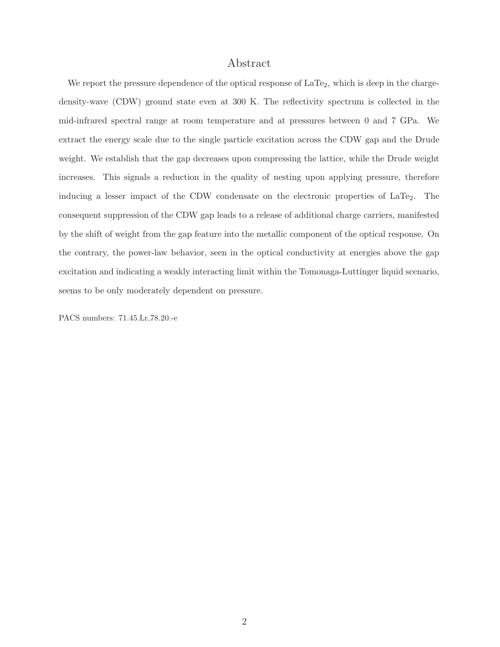## Abstract

We report the pressure dependence of the optical response of  $LaTe<sub>2</sub>$ , which is deep in the chargedensity-wave (CDW) ground state even at 300 K. The reflectivity spectrum is collected in the mid-infrared spectral range at room temperature and at pressures between 0 and 7 GPa. We extract the energy scale due to the single particle excitation across the CDW gap and the Drude weight. We establish that the gap decreases upon compressing the lattice, while the Drude weight increases. This signals a reduction in the quality of nesting upon applying pressure, therefore inducing a lesser impact of the CDW condensate on the electronic properties of  $LaTe<sub>2</sub>$ . The consequent suppression of the CDW gap leads to a release of additional charge carriers, manifested by the shift of weight from the gap feature into the metallic component of the optical response. On the contrary, the power-law behavior, seen in the optical conductivity at energies above the gap excitation and indicating a weakly interacting limit within the Tomonaga-Luttinger liquid scenario, seems to be only moderately dependent on pressure.

PACS numbers: 71.45.Lr,78.20.-e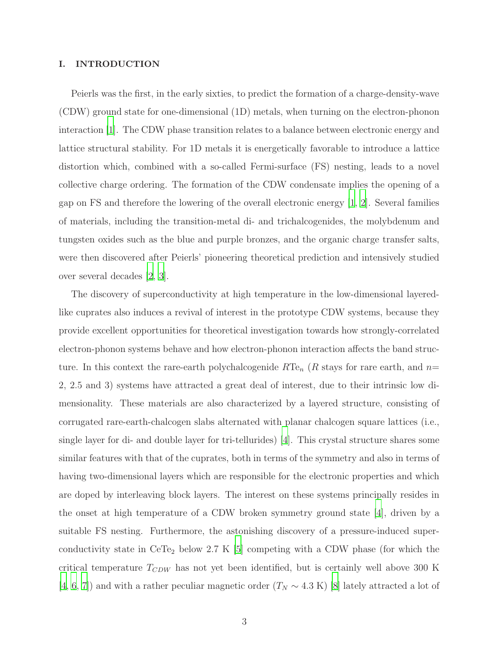#### I. INTRODUCTION

Peierls was the first, in the early sixties, to predict the formation of a charge-density-wave (CDW) ground state for one-dimensional (1D) metals, when turning on the electron-phonon interaction [\[1\]](#page-16-0). The CDW phase transition relates to a balance between electronic energy and lattice structural stability. For 1D metals it is energetically favorable to introduce a lattice distortion which, combined with a so-called Fermi-surface (FS) nesting, leads to a novel collective charge ordering. The formation of the CDW condensate implies the opening of a gap on FS and therefore the lowering of the overall electronic energy [\[1,](#page-16-0) [2\]](#page-16-1). Several families of materials, including the transition-metal di- and trichalcogenides, the molybdenum and tungsten oxides such as the blue and purple bronzes, and the organic charge transfer salts, were then discovered after Peierls' pioneering theoretical prediction and intensively studied over several decades [\[2,](#page-16-1) [3\]](#page-16-2).

The discovery of superconductivity at high temperature in the low-dimensional layeredlike cuprates also induces a revival of interest in the prototype CDW systems, because they provide excellent opportunities for theoretical investigation towards how strongly-correlated electron-phonon systems behave and how electron-phonon interaction affects the band structure. In this context the rare-earth polychalcogenide  $RTe_n$  (R stays for rare earth, and  $n=$ 2, 2.5 and 3) systems have attracted a great deal of interest, due to their intrinsic low dimensionality. These materials are also characterized by a layered structure, consisting of corrugated rare-earth-chalcogen slabs alternated with planar chalcogen square lattices (i.e., single layer for di- and double layer for tri-tellurides) [\[4](#page-16-3)]. This crystal structure shares some similar features with that of the cuprates, both in terms of the symmetry and also in terms of having two-dimensional layers which are responsible for the electronic properties and which are doped by interleaving block layers. The interest on these systems principally resides in the onset at high temperature of a CDW broken symmetry ground state  $|4|$ , driven by a suitable FS nesting. Furthermore, the astonishing discovery of a pressure-induced superconductivity state in  $Cer_{2}$  below 2.7 K [\[5](#page-16-4)] competing with a CDW phase (for which the critical temperature  $T_{CDW}$  has not yet been identified, but is certainly well above 300 K [\[4](#page-16-3), [6,](#page-16-5) [7](#page-17-0)]) and with a rather peculiar magnetic order  $(T_N \sim 4.3 \text{ K})$  [\[8\]](#page-17-1) lately attracted a lot of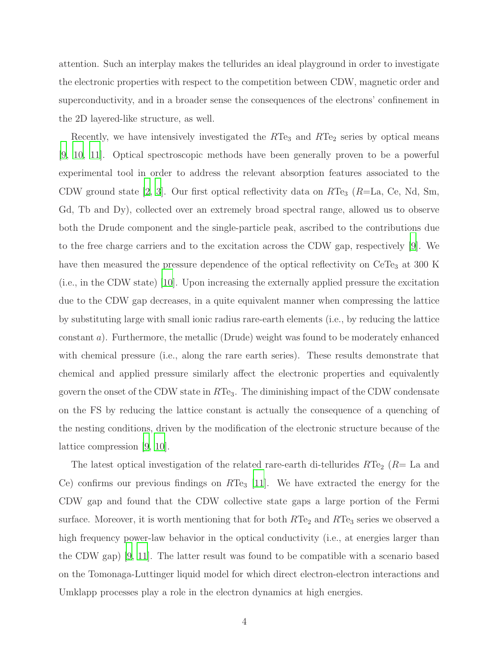attention. Such an interplay makes the tellurides an ideal playground in order to investigate the electronic properties with respect to the competition between CDW, magnetic order and superconductivity, and in a broader sense the consequences of the electrons' confinement in the 2D layered-like structure, as well.

Recently, we have intensively investigated the  $RTe_3$  and  $RTe_2$  series by optical means [\[9](#page-17-2), [10,](#page-17-3) [11](#page-17-4)]. Optical spectroscopic methods have been generally proven to be a powerful experimental tool in order to address the relevant absorption features associated to the CDW ground state [\[2,](#page-16-1) [3](#page-16-2)]. Our first optical reflectivity data on  $RTe_3$  ( $R=La$ , Ce, Nd, Sm, Gd, Tb and Dy), collected over an extremely broad spectral range, allowed us to observe both the Drude component and the single-particle peak, ascribed to the contributions due to the free charge carriers and to the excitation across the CDW gap, respectively [\[9](#page-17-2)]. We have then measured the pressure dependence of the optical reflectivity on  $CeTe<sub>3</sub>$  at 300 K (i.e., in the CDW state) [\[10](#page-17-3)]. Upon increasing the externally applied pressure the excitation due to the CDW gap decreases, in a quite equivalent manner when compressing the lattice by substituting large with small ionic radius rare-earth elements (i.e., by reducing the lattice constant a). Furthermore, the metallic (Drude) weight was found to be moderately enhanced with chemical pressure (i.e., along the rare earth series). These results demonstrate that chemical and applied pressure similarly affect the electronic properties and equivalently govern the onset of the CDW state in  $RTe<sub>3</sub>$ . The diminishing impact of the CDW condensate on the FS by reducing the lattice constant is actually the consequence of a quenching of the nesting conditions, driven by the modification of the electronic structure because of the lattice compression [\[9,](#page-17-2) [10\]](#page-17-3).

The latest optical investigation of the related rare-earth di-tellurides  $RTe<sub>2</sub>$  ( $R=$  La and Ce) confirms our previous findings on  $RTe_3$  [\[11](#page-17-4)]. We have extracted the energy for the CDW gap and found that the CDW collective state gaps a large portion of the Fermi surface. Moreover, it is worth mentioning that for both  $RTe_2$  and  $RTe_3$  series we observed a high frequency power-law behavior in the optical conductivity (i.e., at energies larger than the CDW gap) [\[9](#page-17-2), [11](#page-17-4)]. The latter result was found to be compatible with a scenario based on the Tomonaga-Luttinger liquid model for which direct electron-electron interactions and Umklapp processes play a role in the electron dynamics at high energies.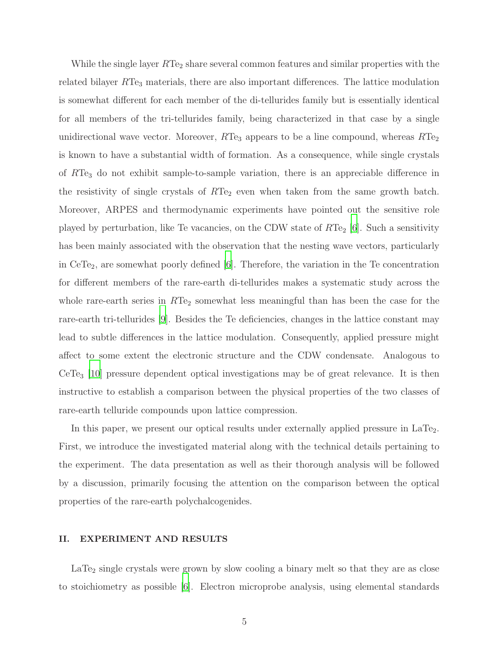While the single layer  $RTe_2$  share several common features and similar properties with the related bilayer  $RTe_3$  materials, there are also important differences. The lattice modulation is somewhat different for each member of the di-tellurides family but is essentially identical for all members of the tri-tellurides family, being characterized in that case by a single unidirectional wave vector. Moreover,  $RTe_3$  appears to be a line compound, whereas  $RTe_2$ is known to have a substantial width of formation. As a consequence, while single crystals of RTe<sup>3</sup> do not exhibit sample-to-sample variation, there is an appreciable difference in the resistivity of single crystals of  $RTe<sub>2</sub>$  even when taken from the same growth batch. Moreover, ARPES and thermodynamic experiments have pointed out the sensitive role played by perturbation, like Te vacancies, on the CDW state of  $RTe_2$  [\[6](#page-16-5)]. Such a sensitivity has been mainly associated with the observation that the nesting wave vectors, particularly in  $CeTe<sub>2</sub>$ , are somewhat poorly defined [\[6\]](#page-16-5). Therefore, the variation in the Te concentration for different members of the rare-earth di-tellurides makes a systematic study across the whole rare-earth series in  $RTe_2$  somewhat less meaningful than has been the case for the rare-earth tri-tellurides [\[9\]](#page-17-2). Besides the Te deficiencies, changes in the lattice constant may lead to subtle differences in the lattice modulation. Consequently, applied pressure might affect to some extent the electronic structure and the CDW condensate. Analogous to CeTe<sup>3</sup> [\[10\]](#page-17-3) pressure dependent optical investigations may be of great relevance. It is then instructive to establish a comparison between the physical properties of the two classes of rare-earth telluride compounds upon lattice compression.

In this paper, we present our optical results under externally applied pressure in LaTe<sub>2</sub>. First, we introduce the investigated material along with the technical details pertaining to the experiment. The data presentation as well as their thorough analysis will be followed by a discussion, primarily focusing the attention on the comparison between the optical properties of the rare-earth polychalcogenides.

### II. EXPERIMENT AND RESULTS

 $LaTe<sub>2</sub>$  single crystals were grown by slow cooling a binary melt so that they are as close to stoichiometry as possible [\[6\]](#page-16-5). Electron microprobe analysis, using elemental standards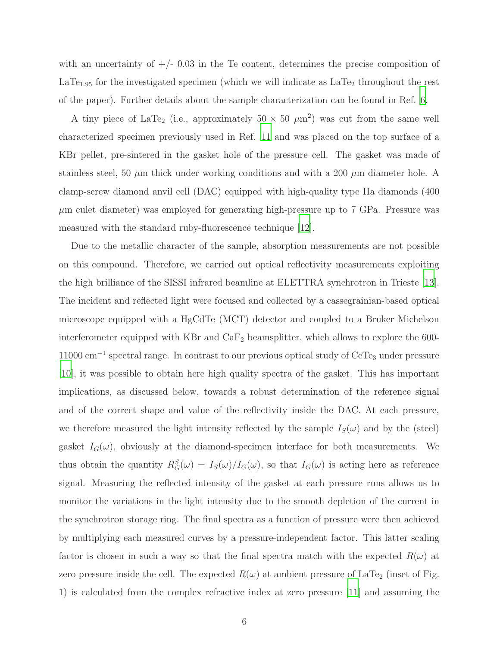with an uncertainty of  $+/- 0.03$  in the Te content, determines the precise composition of  $LaTe<sub>1.95</sub>$  for the investigated specimen (which we will indicate as  $LaTe<sub>2</sub>$  throughout the rest of the paper). Further details about the sample characterization can be found in Ref. [6.](#page-16-5)

A tiny piece of LaTe<sub>2</sub> (i.e., approximately  $50 \times 50 \ \mu \text{m}^2$ ) was cut from the same well characterized specimen previously used in Ref. [11](#page-17-4) and was placed on the top surface of a KBr pellet, pre-sintered in the gasket hole of the pressure cell. The gasket was made of stainless steel, 50  $\mu$ m thick under working conditions and with a 200  $\mu$ m diameter hole. A clamp-screw diamond anvil cell (DAC) equipped with high-quality type IIa diamonds (400  $\mu$ m culet diameter) was employed for generating high-pressure up to 7 GPa. Pressure was measured with the standard ruby-fluorescence technique [\[12](#page-17-5)].

Due to the metallic character of the sample, absorption measurements are not possible on this compound. Therefore, we carried out optical reflectivity measurements exploiting the high brilliance of the SISSI infrared beamline at ELETTRA synchrotron in Trieste [\[13\]](#page-17-6). The incident and reflected light were focused and collected by a cassegrainian-based optical microscope equipped with a HgCdTe (MCT) detector and coupled to a Bruker Michelson interferometer equipped with KBr and  $\text{CaF}_2$  beamsplitter, which allows to explore the 600-11000 cm<sup>-1</sup> spectral range. In contrast to our previous optical study of CeTe<sub>3</sub> under pressure [\[10\]](#page-17-3), it was possible to obtain here high quality spectra of the gasket. This has important implications, as discussed below, towards a robust determination of the reference signal and of the correct shape and value of the reflectivity inside the DAC. At each pressure, we therefore measured the light intensity reflected by the sample  $I_S(\omega)$  and by the (steel) gasket  $I_G(\omega)$ , obviously at the diamond-specimen interface for both measurements. We thus obtain the quantity  $R_G^S(\omega) = I_S(\omega)/I_G(\omega)$ , so that  $I_G(\omega)$  is acting here as reference signal. Measuring the reflected intensity of the gasket at each pressure runs allows us to monitor the variations in the light intensity due to the smooth depletion of the current in the synchrotron storage ring. The final spectra as a function of pressure were then achieved by multiplying each measured curves by a pressure-independent factor. This latter scaling factor is chosen in such a way so that the final spectra match with the expected  $R(\omega)$  at zero pressure inside the cell. The expected  $R(\omega)$  at ambient pressure of LaTe<sub>2</sub> (inset of Fig. 1) is calculated from the complex refractive index at zero pressure [\[11\]](#page-17-4) and assuming the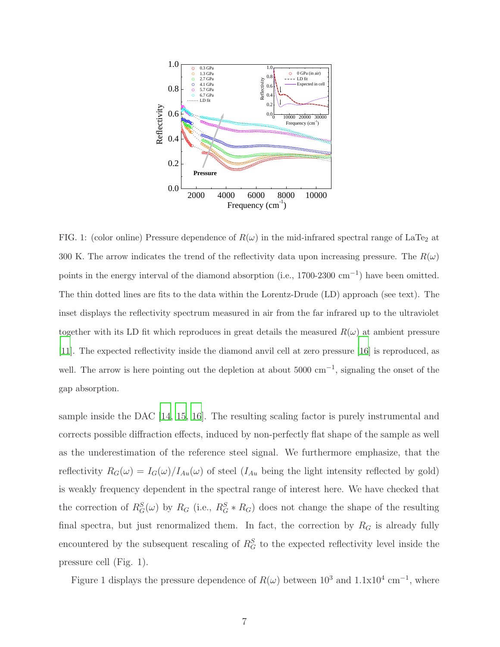

FIG. 1: (color online) Pressure dependence of  $R(\omega)$  in the mid-infrared spectral range of LaTe<sub>2</sub> at 300 K. The arrow indicates the trend of the reflectivity data upon increasing pressure. The  $R(\omega)$ points in the energy interval of the diamond absorption (i.e.,  $1700-2300$  cm<sup>-1</sup>) have been omitted. The thin dotted lines are fits to the data within the Lorentz-Drude (LD) approach (see text). The inset displays the reflectivity spectrum measured in air from the far infrared up to the ultraviolet together with its LD fit which reproduces in great details the measured  $R(\omega)$  at ambient pressure [\[11\]](#page-17-4). The expected reflectivity inside the diamond anvil cell at zero pressure [\[16](#page-17-7)] is reproduced, as well. The arrow is here pointing out the depletion at about  $5000 \text{ cm}^{-1}$ , signaling the onset of the gap absorption.

sample inside the DAC [\[14,](#page-17-8) [15,](#page-17-9) [16\]](#page-17-7). The resulting scaling factor is purely instrumental and corrects possible diffraction effects, induced by non-perfectly flat shape of the sample as well as the underestimation of the reference steel signal. We furthermore emphasize, that the reflectivity  $R_G(\omega) = I_G(\omega)/I_{Au}(\omega)$  of steel  $(I_{Au}$  being the light intensity reflected by gold) is weakly frequency dependent in the spectral range of interest here. We have checked that the correction of  $R_G^S(\omega)$  by  $R_G$  (i.e.,  $R_G^S * R_G$ ) does not change the shape of the resulting final spectra, but just renormalized them. In fact, the correction by  $R_G$  is already fully encountered by the subsequent rescaling of  $R_G^S$  to the expected reflectivity level inside the pressure cell (Fig. 1).

Figure 1 displays the pressure dependence of  $R(\omega)$  between  $10^3$  and  $1.1 \times 10^4$  cm<sup>-1</sup>, where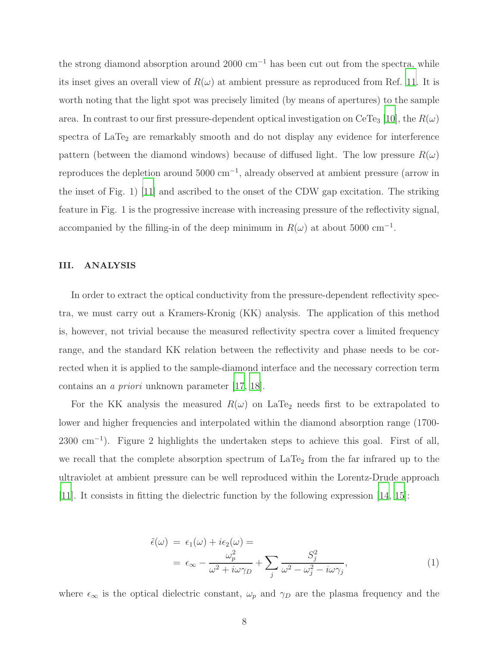the strong diamond absorption around 2000  $cm^{-1}$  has been cut out from the spectra, while its inset gives an overall view of  $R(\omega)$  at ambient pressure as reproduced from Ref. [11.](#page-17-4) It is worth noting that the light spot was precisely limited (by means of apertures) to the sample area. In contrast to our first pressure-dependent optical investigation on CeTe<sub>3</sub> [\[10](#page-17-3)], the  $R(\omega)$ spectra of  $LaTe<sub>2</sub>$  are remarkably smooth and do not display any evidence for interference pattern (between the diamond windows) because of diffused light. The low pressure  $R(\omega)$ reproduces the depletion around 5000 cm<sup>−</sup><sup>1</sup> , already observed at ambient pressure (arrow in the inset of Fig. 1) [\[11\]](#page-17-4) and ascribed to the onset of the CDW gap excitation. The striking feature in Fig. 1 is the progressive increase with increasing pressure of the reflectivity signal, accompanied by the filling-in of the deep minimum in  $R(\omega)$  at about 5000 cm<sup>-1</sup>.

### III. ANALYSIS

In order to extract the optical conductivity from the pressure-dependent reflectivity spectra, we must carry out a Kramers-Kronig (KK) analysis. The application of this method is, however, not trivial because the measured reflectivity spectra cover a limited frequency range, and the standard KK relation between the reflectivity and phase needs to be corrected when it is applied to the sample-diamond interface and the necessary correction term contains an a priori unknown parameter [\[17](#page-17-10), [18](#page-17-11)].

For the KK analysis the measured  $R(\omega)$  on LaTe<sub>2</sub> needs first to be extrapolated to lower and higher frequencies and interpolated within the diamond absorption range (1700-  $2300 \text{ cm}^{-1}$ ). Figure 2 highlights the undertaken steps to achieve this goal. First of all, we recall that the complete absorption spectrum of  $LaTe<sub>2</sub>$  from the far infrared up to the ultraviolet at ambient pressure can be well reproduced within the Lorentz-Drude approach [\[11\]](#page-17-4). It consists in fitting the dielectric function by the following expression [\[14,](#page-17-8) [15](#page-17-9)]:

$$
\tilde{\epsilon}(\omega) = \epsilon_1(\omega) + i\epsilon_2(\omega) =
$$
\n
$$
= \epsilon_{\infty} - \frac{\omega_p^2}{\omega^2 + i\omega\gamma_D} + \sum_j \frac{S_j^2}{\omega^2 - \omega_j^2 - i\omega\gamma_j},
$$
\n(1)

where  $\epsilon_{\infty}$  is the optical dielectric constant,  $\omega_p$  and  $\gamma_D$  are the plasma frequency and the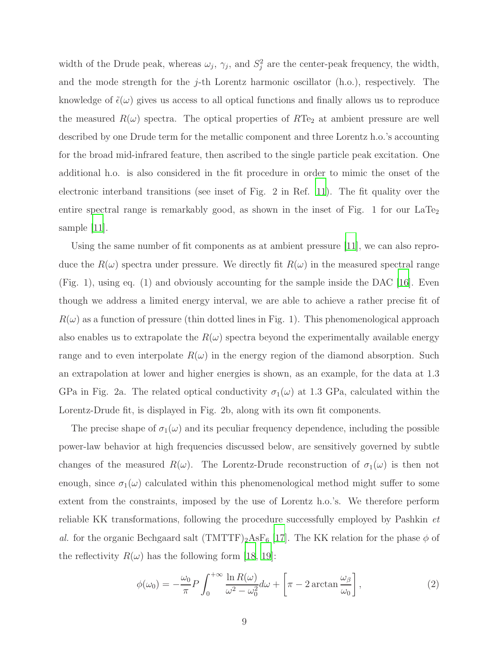width of the Drude peak, whereas  $\omega_j$ ,  $\gamma_j$ , and  $S_j^2$  $j<sup>2</sup>$  are the center-peak frequency, the width, and the mode strength for the  $j$ -th Lorentz harmonic oscillator (h.o.), respectively. The knowledge of  $\tilde{\epsilon}(\omega)$  gives us access to all optical functions and finally allows us to reproduce the measured  $R(\omega)$  spectra. The optical properties of  $RTe<sub>2</sub>$  at ambient pressure are well described by one Drude term for the metallic component and three Lorentz h.o.'s accounting for the broad mid-infrared feature, then ascribed to the single particle peak excitation. One additional h.o. is also considered in the fit procedure in order to mimic the onset of the electronic interband transitions (see inset of Fig. 2 in Ref. [11](#page-17-4)). The fit quality over the entire spectral range is remarkably good, as shown in the inset of Fig. 1 for our  $LaTe<sub>2</sub>$ sample [\[11\]](#page-17-4).

Using the same number of fit components as at ambient pressure [\[11](#page-17-4)], we can also reproduce the  $R(\omega)$  spectra under pressure. We directly fit  $R(\omega)$  in the measured spectral range (Fig. 1), using eq. (1) and obviously accounting for the sample inside the DAC [\[16\]](#page-17-7). Even though we address a limited energy interval, we are able to achieve a rather precise fit of  $R(\omega)$  as a function of pressure (thin dotted lines in Fig. 1). This phenomenological approach also enables us to extrapolate the  $R(\omega)$  spectra beyond the experimentally available energy range and to even interpolate  $R(\omega)$  in the energy region of the diamond absorption. Such an extrapolation at lower and higher energies is shown, as an example, for the data at 1.3 GPa in Fig. 2a. The related optical conductivity  $\sigma_1(\omega)$  at 1.3 GPa, calculated within the Lorentz-Drude fit, is displayed in Fig. 2b, along with its own fit components.

The precise shape of  $\sigma_1(\omega)$  and its peculiar frequency dependence, including the possible power-law behavior at high frequencies discussed below, are sensitively governed by subtle changes of the measured  $R(\omega)$ . The Lorentz-Drude reconstruction of  $\sigma_1(\omega)$  is then not enough, since  $\sigma_1(\omega)$  calculated within this phenomenological method might suffer to some extent from the constraints, imposed by the use of Lorentz h.o.'s. We therefore perform reliable KK transformations, following the procedure successfully employed by Pashkin et al. for the organic Bechgaard salt  $(TMTTF)_2AsF_6$  [\[17\]](#page-17-10). The KK relation for the phase  $\phi$  of the reflectivity  $R(\omega)$  has the following form [\[18](#page-17-11), [19](#page-17-12)]:

$$
\phi(\omega_0) = -\frac{\omega_0}{\pi} P \int_0^{+\infty} \frac{\ln R(\omega)}{\omega^2 - \omega_0^2} d\omega + \left[ \pi - 2 \arctan \frac{\omega_\beta}{\omega_0} \right],\tag{2}
$$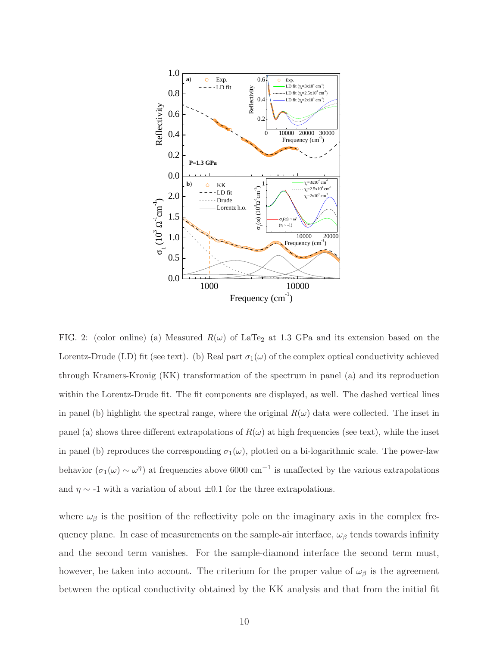

FIG. 2: (color online) (a) Measured  $R(\omega)$  of LaTe<sub>2</sub> at 1.3 GPa and its extension based on the Lorentz-Drude (LD) fit (see text). (b) Real part  $\sigma_1(\omega)$  of the complex optical conductivity achieved through Kramers-Kronig (KK) transformation of the spectrum in panel (a) and its reproduction within the Lorentz-Drude fit. The fit components are displayed, as well. The dashed vertical lines in panel (b) highlight the spectral range, where the original  $R(\omega)$  data were collected. The inset in panel (a) shows three different extrapolations of  $R(\omega)$  at high frequencies (see text), while the inset in panel (b) reproduces the corresponding  $\sigma_1(\omega)$ , plotted on a bi-logarithmic scale. The power-law behavior  $(\sigma_1(\omega) \sim \omega^{\eta})$  at frequencies above 6000 cm<sup>-1</sup> is unaffected by the various extrapolations and  $\eta \sim -1$  with a variation of about  $\pm 0.1$  for the three extrapolations.

where  $\omega_{\beta}$  is the position of the reflectivity pole on the imaginary axis in the complex frequency plane. In case of measurements on the sample-air interface,  $\omega_{\beta}$  tends towards infinity and the second term vanishes. For the sample-diamond interface the second term must, however, be taken into account. The criterium for the proper value of  $\omega_{\beta}$  is the agreement between the optical conductivity obtained by the KK analysis and that from the initial fit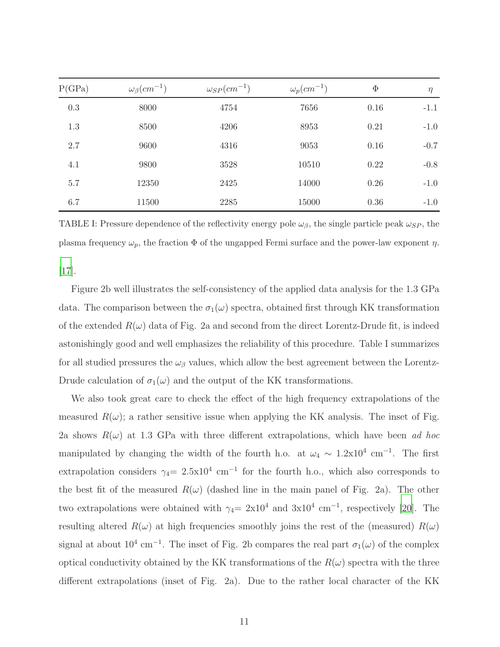| P(GPa) | $\omega_{\beta}(cm^{-1})$ | $\omega_{SP}(cm^{-1})$ | $\omega_p(cm^{-1})$ | $\Phi$ | $\eta$ |
|--------|---------------------------|------------------------|---------------------|--------|--------|
| 0.3    | 8000                      | 4754                   | 7656                | 0.16   | $-1.1$ |
| 1.3    | 8500                      | 4206                   | 8953                | 0.21   | $-1.0$ |
| 2.7    | 9600                      | 4316                   | 9053                | 0.16   | $-0.7$ |
| 4.1    | 9800                      | 3528                   | 10510               | 0.22   | $-0.8$ |
| 5.7    | 12350                     | 2425                   | 14000               | 0.26   | $-1.0$ |
| 6.7    | 11500                     | 2285                   | 15000               | 0.36   | $-1.0$ |

TABLE I: Pressure dependence of the reflectivity energy pole  $\omega_{\beta}$ , the single particle peak  $\omega_{SP}$ , the plasma frequency  $\omega_p$ , the fraction  $\Phi$  of the ungapped Fermi surface and the power-law exponent  $\eta$ .

[\[17\]](#page-17-10).

Figure 2b well illustrates the self-consistency of the applied data analysis for the 1.3 GPa data. The comparison between the  $\sigma_1(\omega)$  spectra, obtained first through KK transformation of the extended  $R(\omega)$  data of Fig. 2a and second from the direct Lorentz-Drude fit, is indeed astonishingly good and well emphasizes the reliability of this procedure. Table I summarizes for all studied pressures the  $\omega_{\beta}$  values, which allow the best agreement between the Lorentz-Drude calculation of  $\sigma_1(\omega)$  and the output of the KK transformations.

We also took great care to check the effect of the high frequency extrapolations of the measured  $R(\omega)$ ; a rather sensitive issue when applying the KK analysis. The inset of Fig. 2a shows  $R(\omega)$  at 1.3 GPa with three different extrapolations, which have been ad hoc manipulated by changing the width of the fourth h.o. at  $\omega_4 \sim 1.2 \times 10^4$  cm<sup>-1</sup>. The first extrapolation considers  $\gamma_4 = 2.5 \times 10^4$  cm<sup>-1</sup> for the fourth h.o., which also corresponds to the best fit of the measured  $R(\omega)$  (dashed line in the main panel of Fig. 2a). The other two extrapolations were obtained with  $\gamma_4 = 2 \times 10^4$  and  $3 \times 10^4$  cm<sup>-1</sup>, respectively [\[20](#page-17-13)]. The resulting altered  $R(\omega)$  at high frequencies smoothly joins the rest of the (measured)  $R(\omega)$ signal at about  $10^4 \text{ cm}^{-1}$ . The inset of Fig. 2b compares the real part  $\sigma_1(\omega)$  of the complex optical conductivity obtained by the KK transformations of the  $R(\omega)$  spectra with the three different extrapolations (inset of Fig. 2a). Due to the rather local character of the KK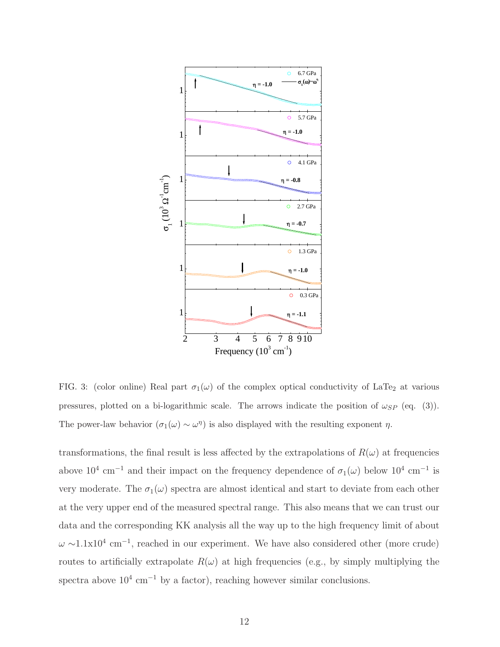

FIG. 3: (color online) Real part  $\sigma_1(\omega)$  of the complex optical conductivity of LaTe<sub>2</sub> at various pressures, plotted on a bi-logarithmic scale. The arrows indicate the position of  $\omega_{SP}$  (eq. (3)). The power-law behavior  $(\sigma_1(\omega) \sim \omega^{\eta})$  is also displayed with the resulting exponent  $\eta$ .

transformations, the final result is less affected by the extrapolations of  $R(\omega)$  at frequencies above 10<sup>4</sup> cm<sup>-1</sup> and their impact on the frequency dependence of  $\sigma_1(\omega)$  below 10<sup>4</sup> cm<sup>-1</sup> is very moderate. The  $\sigma_1(\omega)$  spectra are almost identical and start to deviate from each other at the very upper end of the measured spectral range. This also means that we can trust our data and the corresponding KK analysis all the way up to the high frequency limit of about  $\omega \sim 1.1 \times 10^4$  cm<sup>-1</sup>, reached in our experiment. We have also considered other (more crude) routes to artificially extrapolate  $R(\omega)$  at high frequencies (e.g., by simply multiplying the spectra above  $10^4 \text{ cm}^{-1}$  by a factor), reaching however similar conclusions.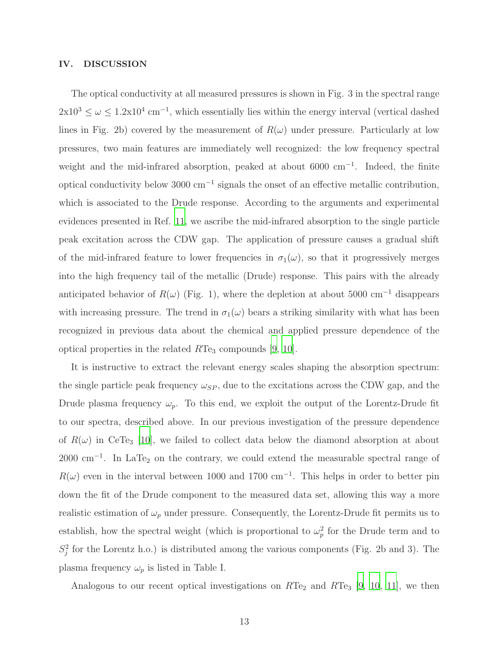#### IV. DISCUSSION

The optical conductivity at all measured pressures is shown in Fig. 3 in the spectral range  $2x10^3 \leq \omega \leq 1.2x10^4$  cm<sup>-1</sup>, which essentially lies within the energy interval (vertical dashed lines in Fig. 2b) covered by the measurement of  $R(\omega)$  under pressure. Particularly at low pressures, two main features are immediately well recognized: the low frequency spectral weight and the mid-infrared absorption, peaked at about 6000 cm<sup>-1</sup>. Indeed, the finite optical conductivity below 3000 cm<sup>−</sup><sup>1</sup> signals the onset of an effective metallic contribution, which is associated to the Drude response. According to the arguments and experimental evidences presented in Ref. [11](#page-17-4), we ascribe the mid-infrared absorption to the single particle peak excitation across the CDW gap. The application of pressure causes a gradual shift of the mid-infrared feature to lower frequencies in  $\sigma_1(\omega)$ , so that it progressively merges into the high frequency tail of the metallic (Drude) response. This pairs with the already anticipated behavior of  $R(\omega)$  (Fig. 1), where the depletion at about 5000 cm<sup>-1</sup> disappears with increasing pressure. The trend in  $\sigma_1(\omega)$  bears a striking similarity with what has been recognized in previous data about the chemical and applied pressure dependence of the optical properties in the related  $RTe_3$  compounds [\[9](#page-17-2), [10](#page-17-3)].

It is instructive to extract the relevant energy scales shaping the absorption spectrum: the single particle peak frequency  $\omega_{SP}$ , due to the excitations across the CDW gap, and the Drude plasma frequency  $\omega_p$ . To this end, we exploit the output of the Lorentz-Drude fit to our spectra, described above. In our previous investigation of the pressure dependence of  $R(\omega)$  in CeTe<sub>3</sub> [\[10\]](#page-17-3), we failed to collect data below the diamond absorption at about  $2000 \text{ cm}^{-1}$ . In LaTe<sub>2</sub> on the contrary, we could extend the measurable spectral range of  $R(\omega)$  even in the interval between 1000 and 1700 cm<sup>-1</sup>. This helps in order to better pin down the fit of the Drude component to the measured data set, allowing this way a more realistic estimation of  $\omega_p$  under pressure. Consequently, the Lorentz-Drude fit permits us to establish, how the spectral weight (which is proportional to  $\omega_n^2$  $_p^2$  for the Drude term and to  $S_i^2$  $j<sup>2</sup>$  for the Lorentz h.o.) is distributed among the various components (Fig. 2b and 3). The plasma frequency  $\omega_p$  is listed in Table I.

Analogous to our recent optical investigations on  $RTe_2$  and  $RTe_3$  [\[9,](#page-17-2) [10](#page-17-3), [11\]](#page-17-4), we then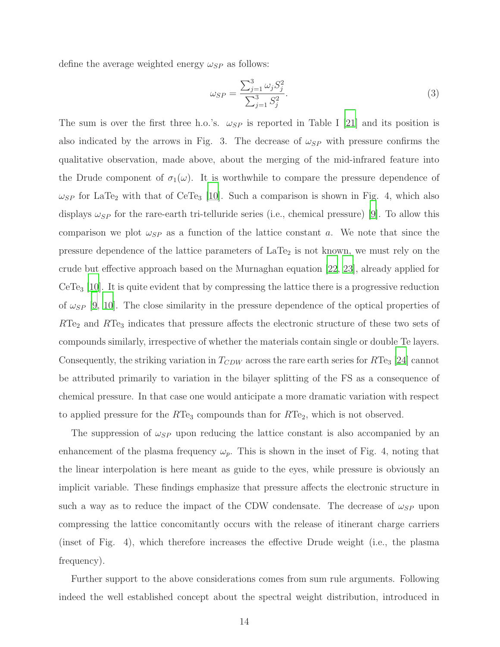define the average weighted energy  $\omega_{SP}$  as follows:

$$
\omega_{SP} = \frac{\sum_{j=1}^{3} \omega_j S_j^2}{\sum_{j=1}^{3} S_j^2}.
$$
\n(3)

The sum is over the first three h.o.'s.  $\omega_{SP}$  is reported in Table I [\[21](#page-17-14)] and its position is also indicated by the arrows in Fig. 3. The decrease of  $\omega_{SP}$  with pressure confirms the qualitative observation, made above, about the merging of the mid-infrared feature into the Drude component of  $\sigma_1(\omega)$ . It is worthwhile to compare the pressure dependence of  $\omega_{SP}$  for LaTe<sub>2</sub> with that of CeTe<sub>3</sub> [\[10](#page-17-3)]. Such a comparison is shown in Fig. 4, which also displays  $\omega_{SP}$  for the rare-earth tri-telluride series (i.e., chemical pressure) [\[9](#page-17-2)]. To allow this comparison we plot  $\omega_{SP}$  as a function of the lattice constant a. We note that since the pressure dependence of the lattice parameters of  $LaTe<sub>2</sub>$  is not known, we must rely on the crude but effective approach based on the Murnaghan equation [\[22,](#page-17-15) 23], already applied for  $CeTe<sub>3</sub>$  [\[10\]](#page-17-3). It is quite evident that by compressing the lattice there is a progressive reduction of  $\omega_{SP}$  [\[9](#page-17-2), [10](#page-17-3)]. The close similarity in the pressure dependence of the optical properties of  $RTe<sub>2</sub>$  and  $RTe<sub>3</sub>$  indicates that pressure affects the electronic structure of these two sets of compounds similarly, irrespective of whether the materials contain single or double Te layers. Consequently, the striking variation in  $T_{CDW}$  across the rare earth series for  $RTe_3$  [\[24\]](#page-18-0) cannot be attributed primarily to variation in the bilayer splitting of the FS as a consequence of chemical pressure. In that case one would anticipate a more dramatic variation with respect to applied pressure for the  $RTe_3$  compounds than for  $RTe_2$ , which is not observed.

The suppression of  $\omega_{SP}$  upon reducing the lattice constant is also accompanied by an enhancement of the plasma frequency  $\omega_p$ . This is shown in the inset of Fig. 4, noting that the linear interpolation is here meant as guide to the eyes, while pressure is obviously an implicit variable. These findings emphasize that pressure affects the electronic structure in such a way as to reduce the impact of the CDW condensate. The decrease of  $\omega_{SP}$  upon compressing the lattice concomitantly occurs with the release of itinerant charge carriers (inset of Fig. 4), which therefore increases the effective Drude weight (i.e., the plasma frequency).

Further support to the above considerations comes from sum rule arguments. Following indeed the well established concept about the spectral weight distribution, introduced in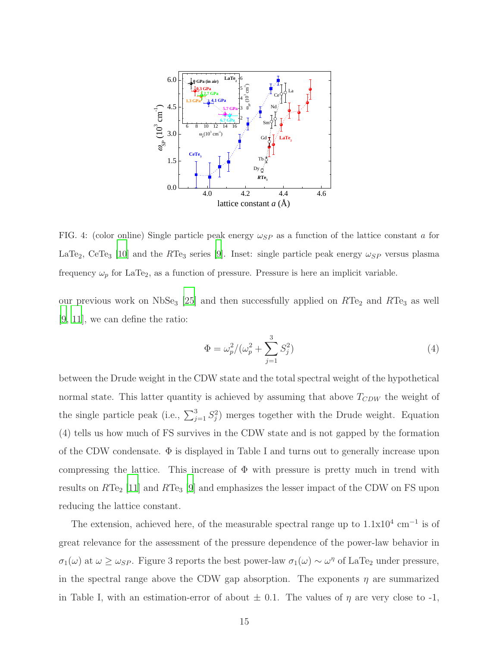

FIG. 4: (color online) Single particle peak energy  $\omega_{SP}$  as a function of the lattice constant a for LaTe<sub>2</sub>, CeTe<sub>3</sub> [\[10](#page-17-3)] and the RTe<sub>3</sub> series [\[9\]](#page-17-2). Inset: single particle peak energy  $\omega_{SP}$  versus plasma frequency  $\omega_p$  for LaTe<sub>2</sub>, as a function of pressure. Pressure is here an implicit variable.

our previous work on  $NbSe_3$  [\[25\]](#page-18-1) and then successfully applied on  $RTe_2$  and  $RTe_3$  as well [\[9](#page-17-2), [11\]](#page-17-4), we can define the ratio:

$$
\Phi = \omega_p^2 / (\omega_p^2 + \sum_{j=1}^3 S_j^2)
$$
\n(4)

between the Drude weight in the CDW state and the total spectral weight of the hypothetical normal state. This latter quantity is achieved by assuming that above  $T_{CDW}$  the weight of the single particle peak (i.e.,  $\sum_{j=1}^{3} S_j^2$  $j$ ) merges together with the Drude weight. Equation (4) tells us how much of FS survives in the CDW state and is not gapped by the formation of the CDW condensate.  $\Phi$  is displayed in Table I and turns out to generally increase upon compressing the lattice. This increase of  $\Phi$  with pressure is pretty much in trend with results on  $RTe_2$  [\[11](#page-17-4)] and  $RTe_3$  [\[9\]](#page-17-2) and emphasizes the lesser impact of the CDW on FS upon reducing the lattice constant.

The extension, achieved here, of the measurable spectral range up to  $1.1 \times 10^4$  cm<sup>-1</sup> is of great relevance for the assessment of the pressure dependence of the power-law behavior in  $\sigma_1(\omega)$  at  $\omega \ge \omega_{SP}$ . Figure 3 reports the best power-law  $\sigma_1(\omega) \sim \omega^{\eta}$  of LaTe<sub>2</sub> under pressure, in the spectral range above the CDW gap absorption. The exponents  $\eta$  are summarized in Table I, with an estimation-error of about  $\pm$  0.1. The values of  $\eta$  are very close to -1,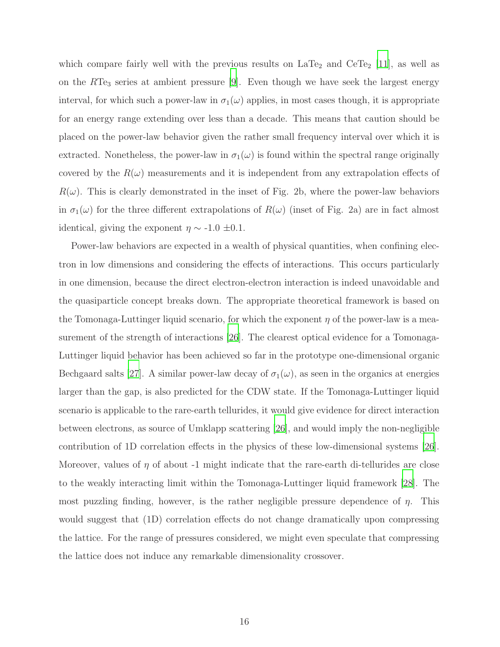which compare fairly well with the previous results on  $LaTe<sub>2</sub>$  and  $CeTe<sub>2</sub>$  [\[11](#page-17-4)], as well as on the  $RTe_3$  series at ambient pressure [\[9](#page-17-2)]. Even though we have seek the largest energy interval, for which such a power-law in  $\sigma_1(\omega)$  applies, in most cases though, it is appropriate for an energy range extending over less than a decade. This means that caution should be placed on the power-law behavior given the rather small frequency interval over which it is extracted. Nonetheless, the power-law in  $\sigma_1(\omega)$  is found within the spectral range originally covered by the  $R(\omega)$  measurements and it is independent from any extrapolation effects of  $R(\omega)$ . This is clearly demonstrated in the inset of Fig. 2b, where the power-law behaviors in  $\sigma_1(\omega)$  for the three different extrapolations of  $R(\omega)$  (inset of Fig. 2a) are in fact almost identical, giving the exponent  $\eta \sim -1.0 \pm 0.1$ .

Power-law behaviors are expected in a wealth of physical quantities, when confining electron in low dimensions and considering the effects of interactions. This occurs particularly in one dimension, because the direct electron-electron interaction is indeed unavoidable and the quasiparticle concept breaks down. The appropriate theoretical framework is based on the Tomonaga-Luttinger liquid scenario, for which the exponent  $\eta$  of the power-law is a measurement of the strength of interactions [\[26](#page-18-2)]. The clearest optical evidence for a Tomonaga-Luttinger liquid behavior has been achieved so far in the prototype one-dimensional organic Bechgaard salts [\[27](#page-18-3)]. A similar power-law decay of  $\sigma_1(\omega)$ , as seen in the organics at energies larger than the gap, is also predicted for the CDW state. If the Tomonaga-Luttinger liquid scenario is applicable to the rare-earth tellurides, it would give evidence for direct interaction between electrons, as source of Umklapp scattering [\[26](#page-18-2)], and would imply the non-negligible contribution of 1D correlation effects in the physics of these low-dimensional systems [\[26\]](#page-18-2). Moreover, values of  $\eta$  of about -1 might indicate that the rare-earth di-tellurides are close to the weakly interacting limit within the Tomonaga-Luttinger liquid framework [\[28\]](#page-18-4). The most puzzling finding, however, is the rather negligible pressure dependence of  $\eta$ . This would suggest that (1D) correlation effects do not change dramatically upon compressing the lattice. For the range of pressures considered, we might even speculate that compressing the lattice does not induce any remarkable dimensionality crossover.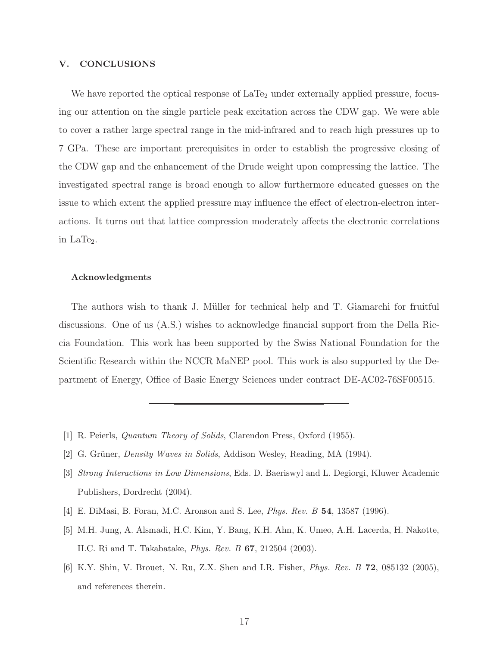#### V. CONCLUSIONS

We have reported the optical response of  $LaTe<sub>2</sub>$  under externally applied pressure, focusing our attention on the single particle peak excitation across the CDW gap. We were able to cover a rather large spectral range in the mid-infrared and to reach high pressures up to 7 GPa. These are important prerequisites in order to establish the progressive closing of the CDW gap and the enhancement of the Drude weight upon compressing the lattice. The investigated spectral range is broad enough to allow furthermore educated guesses on the issue to which extent the applied pressure may influence the effect of electron-electron interactions. It turns out that lattice compression moderately affects the electronic correlations in  $LaTe<sub>2</sub>$ .

#### Acknowledgments

The authors wish to thank J. Müller for technical help and T. Giamarchi for fruitful discussions. One of us (A.S.) wishes to acknowledge financial support from the Della Riccia Foundation. This work has been supported by the Swiss National Foundation for the Scientific Research within the NCCR MaNEP pool. This work is also supported by the Department of Energy, Office of Basic Energy Sciences under contract DE-AC02-76SF00515.

- <span id="page-16-1"></span><span id="page-16-0"></span>[1] R. Peierls, Quantum Theory of Solids, Clarendon Press, Oxford (1955).
- <span id="page-16-2"></span>[2] G. Grüner, *Density Waves in Solids*, Addison Wesley, Reading, MA (1994).
- [3] Strong Interactions in Low Dimensions, Eds. D. Baeriswyl and L. Degiorgi, Kluwer Academic Publishers, Dordrecht (2004).
- <span id="page-16-3"></span>[4] E. DiMasi, B. Foran, M.C. Aronson and S. Lee, Phys. Rev. B 54, 13587 (1996).
- <span id="page-16-4"></span>[5] M.H. Jung, A. Alsmadi, H.C. Kim, Y. Bang, K.H. Ahn, K. Umeo, A.H. Lacerda, H. Nakotte, H.C. Ri and T. Takabatake, Phys. Rev. B 67, 212504 (2003).
- <span id="page-16-5"></span>[6] K.Y. Shin, V. Brouet, N. Ru, Z.X. Shen and I.R. Fisher, Phys. Rev. B 72, 085132 (2005), and references therein.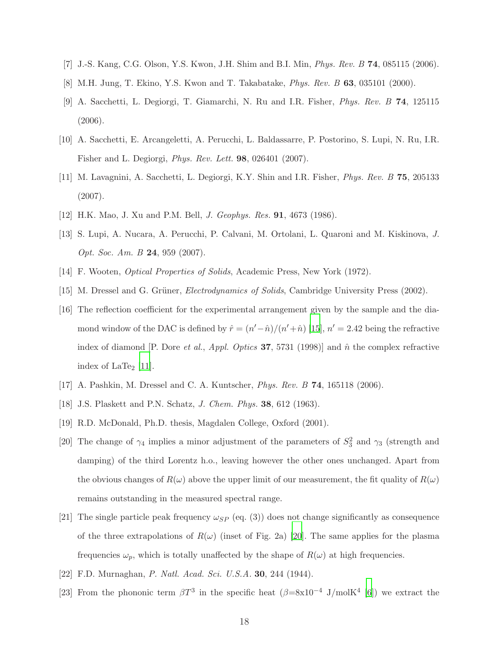- <span id="page-17-1"></span><span id="page-17-0"></span>[7] J.-S. Kang, C.G. Olson, Y.S. Kwon, J.H. Shim and B.I. Min, Phys. Rev. B 74, 085115 (2006).
- <span id="page-17-2"></span>[8] M.H. Jung, T. Ekino, Y.S. Kwon and T. Takabatake, Phys. Rev. B 63, 035101 (2000).
- [9] A. Sacchetti, L. Degiorgi, T. Giamarchi, N. Ru and I.R. Fisher, Phys. Rev. B 74, 125115 (2006).
- <span id="page-17-3"></span>[10] A. Sacchetti, E. Arcangeletti, A. Perucchi, L. Baldassarre, P. Postorino, S. Lupi, N. Ru, I.R. Fisher and L. Degiorgi, Phys. Rev. Lett. 98, 026401 (2007).
- <span id="page-17-4"></span>[11] M. Lavagnini, A. Sacchetti, L. Degiorgi, K.Y. Shin and I.R. Fisher, Phys. Rev. B 75, 205133 (2007).
- <span id="page-17-6"></span><span id="page-17-5"></span>[12] H.K. Mao, J. Xu and P.M. Bell, J. Geophys. Res. 91, 4673 (1986).
- [13] S. Lupi, A. Nucara, A. Perucchi, P. Calvani, M. Ortolani, L. Quaroni and M. Kiskinova, J. Opt. Soc. Am. B 24, 959 (2007).
- <span id="page-17-9"></span><span id="page-17-8"></span>[14] F. Wooten, Optical Properties of Solids, Academic Press, New York (1972).
- <span id="page-17-7"></span>[15] M. Dressel and G. Grüner, *Electrodynamics of Solids*, Cambridge University Press (2002).
- [16] The reflection coefficient for the experimental arrangement given by the sample and the diamond window of the DAC is defined by  $\hat{r} = (n' - \hat{n})/(n' + \hat{n})$  [\[15\]](#page-17-9),  $n' = 2.42$  being the refractive index of diamond [P. Dore *et al., Appl. Optics* 37, 5731 (1998)] and  $\hat{n}$  the complex refractive index of  $\text{LaTe}_2$  [\[11](#page-17-4)].
- <span id="page-17-11"></span><span id="page-17-10"></span>[17] A. Pashkin, M. Dressel and C. A. Kuntscher, Phys. Rev. B 74, 165118 (2006).
- [18] J.S. Plaskett and P.N. Schatz, *J. Chem. Phys.* **38**, 612 (1963).
- <span id="page-17-12"></span>[19] R.D. McDonald, Ph.D. thesis, Magdalen College, Oxford (2001).
- <span id="page-17-13"></span>[20] The change of  $\gamma_4$  implies a minor adjustment of the parameters of  $S_3^2$  and  $\gamma_3$  (strength and damping) of the third Lorentz h.o., leaving however the other ones unchanged. Apart from the obvious changes of  $R(\omega)$  above the upper limit of our measurement, the fit quality of  $R(\omega)$ remains outstanding in the measured spectral range.
- <span id="page-17-14"></span>[21] The single particle peak frequency  $\omega_{SP}$  (eq. (3)) does not change significantly as consequence of the three extrapolations of  $R(\omega)$  (inset of Fig. 2a) [\[20\]](#page-17-13). The same applies for the plasma frequencies  $\omega_p$ , which is totally unaffected by the shape of  $R(\omega)$  at high frequencies.
- <span id="page-17-15"></span>[22] F.D. Murnaghan, P. Natl. Acad. Sci. U.S.A. 30, 244 (1944).
- [23] From the phononic term  $\beta T^3$  in the specific heat  $(\beta = 8 \times 10^{-4} \text{ J/molK}^4$  [\[6](#page-16-5)]) we extract the